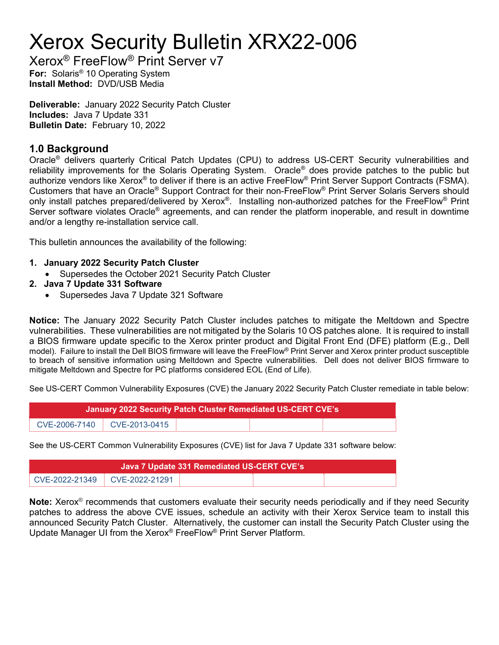# Xerox Security Bulletin XRX22-006

Xerox® FreeFlow® Print Server v7 For: Solaris<sup>®</sup> 10 Operating System Install Method: DVD/USB Media

Deliverable: January 2022 Security Patch Cluster Includes: Java 7 Update 331 Bulletin Date: February 10, 2022

### 1.0 Background

Oracle<sup>®</sup> delivers quarterly Critical Patch Updates (CPU) to address US-CERT Security vulnerabilities and reliability improvements for the Solaris Operating System. Oracle® does provide patches to the public but authorize vendors like Xerox® to deliver if there is an active FreeFlow® Print Server Support Contracts (FSMA). Customers that have an Oracle® Support Contract for their non-FreeFlow® Print Server Solaris Servers should only install patches prepared/delivered by Xerox®. Installing non-authorized patches for the FreeFlow® Print Server software violates Oracle® agreements, and can render the platform inoperable, and result in downtime and/or a lengthy re-installation service call.

This bulletin announces the availability of the following:

- 1. January 2022 Security Patch Cluster
	- Supersedes the October 2021 Security Patch Cluster
- 2. Java 7 Update 331 Software
	- Supersedes Java 7 Update 321 Software

Notice: The January 2022 Security Patch Cluster includes patches to mitigate the Meltdown and Spectre vulnerabilities. These vulnerabilities are not mitigated by the Solaris 10 OS patches alone. It is required to install a BIOS firmware update specific to the Xerox printer product and Digital Front End (DFE) platform (E.g., Dell model). Failure to install the Dell BIOS firmware will leave the FreeFlow® Print Server and Xerox printer product susceptible to breach of sensitive information using Meltdown and Spectre vulnerabilities. Dell does not deliver BIOS firmware to mitigate Meltdown and Spectre for PC platforms considered EOL (End of Life).

See US-CERT Common Vulnerability Exposures (CVE) the January 2022 Security Patch Cluster remediate in table below:

| January 2022 Security Patch Cluster Remediated US-CERT CVE's |                               |  |  |  |  |  |  |
|--------------------------------------------------------------|-------------------------------|--|--|--|--|--|--|
|                                                              | CVE-2006-7140   CVE-2013-0415 |  |  |  |  |  |  |

See the US-CERT Common Vulnerability Exposures (CVE) list for Java 7 Update 331 software below:

| Java 7 Update 331 Remediated US-CERT CVE's |  |  |  |  |  |  |  |
|--------------------------------------------|--|--|--|--|--|--|--|
| CVE-2022-21349 CVE-2022-21291              |  |  |  |  |  |  |  |

Note: Xerox<sup>®</sup> recommends that customers evaluate their security needs periodically and if they need Security patches to address the above CVE issues, schedule an activity with their Xerox Service team to install this announced Security Patch Cluster. Alternatively, the customer can install the Security Patch Cluster using the Update Manager UI from the Xerox® FreeFlow® Print Server Platform.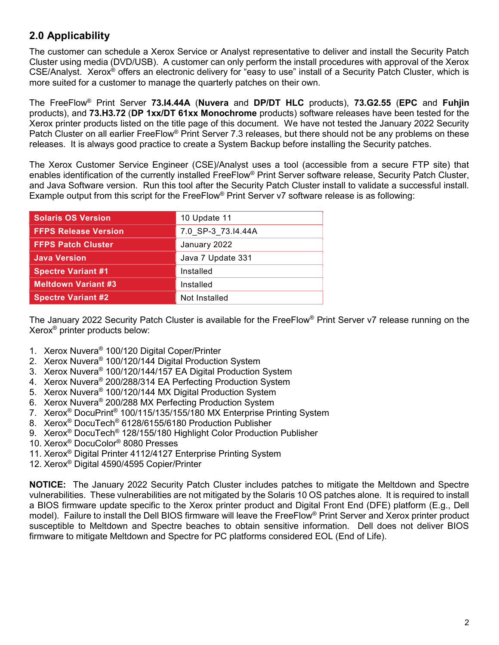## 2.0 Applicability

The customer can schedule a Xerox Service or Analyst representative to deliver and install the Security Patch Cluster using media (DVD/USB). A customer can only perform the install procedures with approval of the Xerox CSE/Analyst. Xerox® offers an electronic delivery for "easy to use" install of a Security Patch Cluster, which is more suited for a customer to manage the quarterly patches on their own.

The FreeFlow<sup>®</sup> Print Server 73.14.44A (Nuvera and DP/DT HLC products), 73.G2.55 (EPC and Fuhjin products), and 73.H3.72 (DP 1xx/DT 61xx Monochrome products) software releases have been tested for the Xerox printer products listed on the title page of this document. We have not tested the January 2022 Security Patch Cluster on all earlier FreeFlow® Print Server 7.3 releases, but there should not be any problems on these releases. It is always good practice to create a System Backup before installing the Security patches.

The Xerox Customer Service Engineer (CSE)/Analyst uses a tool (accessible from a secure FTP site) that enables identification of the currently installed FreeFlow® Print Server software release, Security Patch Cluster, and Java Software version. Run this tool after the Security Patch Cluster install to validate a successful install. Example output from this script for the FreeFlow® Print Server v7 software release is as following:

| <b>Solaris OS Version</b>   | 10 Update 11       |  |
|-----------------------------|--------------------|--|
| <b>FFPS Release Version</b> | 7.0 SP-3_73.I4.44A |  |
| <b>FFPS Patch Cluster</b>   | January 2022       |  |
| <b>Java Version</b>         | Java 7 Update 331  |  |
| <b>Spectre Variant #1</b>   | Installed          |  |
| <b>Meltdown Variant #3</b>  | Installed          |  |
| <b>Spectre Variant #2</b>   | Not Installed      |  |

The January 2022 Security Patch Cluster is available for the FreeFlow® Print Server v7 release running on the Xerox® printer products below:

- 1. Xerox Nuvera® 100/120 Digital Coper/Printer
- 2. Xerox Nuvera® 100/120/144 Digital Production System
- 3. Xerox Nuvera® 100/120/144/157 EA Digital Production System
- 4. Xerox Nuvera® 200/288/314 EA Perfecting Production System
- 5. Xerox Nuvera® 100/120/144 MX Digital Production System
- 6. Xerox Nuvera® 200/288 MX Perfecting Production System
- 7. Xerox® DocuPrint® 100/115/135/155/180 MX Enterprise Printing System
- 8. Xerox® DocuTech® 6128/6155/6180 Production Publisher
- 9. Xerox® DocuTech® 128/155/180 Highlight Color Production Publisher
- 10. Xerox® DocuColor® 8080 Presses
- 11. Xerox® Digital Printer 4112/4127 Enterprise Printing System
- 12. Xerox® Digital 4590/4595 Copier/Printer

**NOTICE:** The January 2022 Security Patch Cluster includes patches to mitigate the Meltdown and Spectre vulnerabilities. These vulnerabilities are not mitigated by the Solaris 10 OS patches alone. It is required to install a BIOS firmware update specific to the Xerox printer product and Digital Front End (DFE) platform (E.g., Dell model). Failure to install the Dell BIOS firmware will leave the FreeFlow® Print Server and Xerox printer product susceptible to Meltdown and Spectre beaches to obtain sensitive information. Dell does not deliver BIOS firmware to mitigate Meltdown and Spectre for PC platforms considered EOL (End of Life).